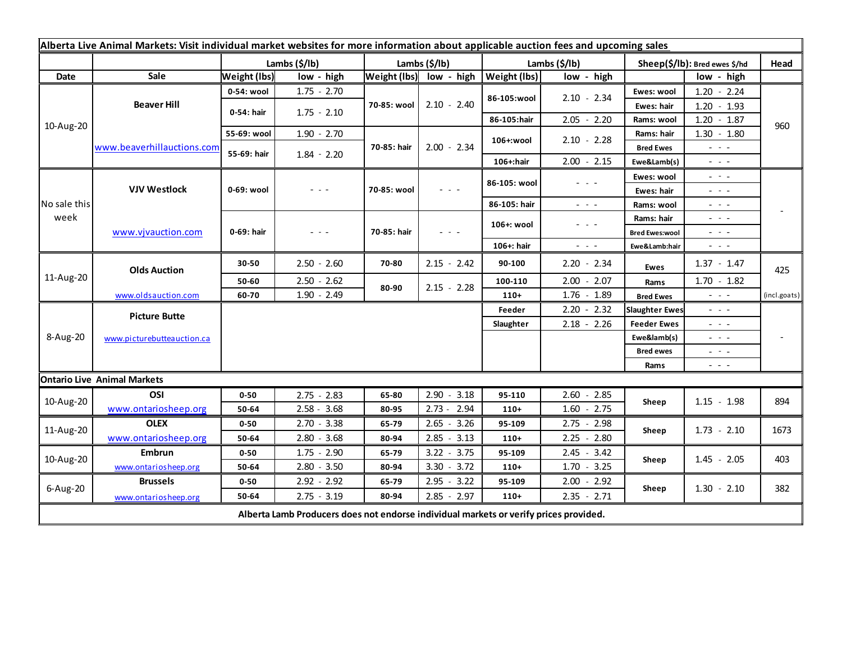| Alberta Live Animal Markets: Visit individual market websites for more information about applicable auction fees and upcoming sales |                                    |                     |               |               |                                                                                                                           |                           |                      |                               |                                                                                                                                                                                                                                                                                                                                                                                                                                                |              |
|-------------------------------------------------------------------------------------------------------------------------------------|------------------------------------|---------------------|---------------|---------------|---------------------------------------------------------------------------------------------------------------------------|---------------------------|----------------------|-------------------------------|------------------------------------------------------------------------------------------------------------------------------------------------------------------------------------------------------------------------------------------------------------------------------------------------------------------------------------------------------------------------------------------------------------------------------------------------|--------------|
|                                                                                                                                     |                                    | Lambs (\$/lb)       |               | Lambs (\$/lb) |                                                                                                                           | Lambs $(\frac{2}{3})$ lb) |                      | Sheep(\$/lb): Bred ewes \$/hd |                                                                                                                                                                                                                                                                                                                                                                                                                                                | Head         |
| Date                                                                                                                                | Sale                               | <b>Weight (lbs)</b> | low - high    |               | Weight (lbs) low - high                                                                                                   | <b>Weight (lbs)</b>       | low - high           |                               | low - high                                                                                                                                                                                                                                                                                                                                                                                                                                     |              |
| 10-Aug-20                                                                                                                           | <b>Beaver Hill</b>                 | 0-54: wool          | $1.75 - 2.70$ | 70-85: wool   | $2.10 - 2.40$                                                                                                             | 86-105:wool               | $2.10 - 2.34$        | Ewes: wool                    | $1.20 - 2.24$                                                                                                                                                                                                                                                                                                                                                                                                                                  | 960          |
|                                                                                                                                     |                                    | 0-54: hair          | $1.75 - 2.10$ |               |                                                                                                                           |                           |                      | Ewes: hair                    | $1.20 - 1.93$                                                                                                                                                                                                                                                                                                                                                                                                                                  |              |
|                                                                                                                                     |                                    |                     |               |               |                                                                                                                           | 86-105:hair               | $2.05 - 2.20$        | Rams: wool                    | $1.20 - 1.87$                                                                                                                                                                                                                                                                                                                                                                                                                                  |              |
|                                                                                                                                     | www.beaverhillauctions.com         | 55-69: wool         | $1.90 - 2.70$ | 70-85: hair   | $2.00 - 2.34$                                                                                                             | 106+:wool                 | $2.10 - 2.28$        | Rams: hair                    | $1.30 - 1.80$                                                                                                                                                                                                                                                                                                                                                                                                                                  |              |
|                                                                                                                                     |                                    | 55-69: hair         | $1.84 - 2.20$ |               |                                                                                                                           |                           |                      | <b>Bred Ewes</b>              | $  -$                                                                                                                                                                                                                                                                                                                                                                                                                                          |              |
|                                                                                                                                     |                                    |                     |               |               |                                                                                                                           | 106+:hair                 | $2.00 - 2.15$        | Ewe&Lamb(s)                   | - - -                                                                                                                                                                                                                                                                                                                                                                                                                                          |              |
| No sale this<br>week                                                                                                                | <b>VJV Westlock</b>                | 0-69: wool          | $  -$         | 70-85: wool   | $\frac{1}{2} \left( \frac{1}{2} \right) \left( \frac{1}{2} \right) \left( \frac{1}{2} \right) \left( \frac{1}{2} \right)$ | 86-105: wool              | $  -$                | Ewes: wool                    | $\frac{1}{2} \left( \frac{1}{2} \right) = \frac{1}{2} \left( \frac{1}{2} \right)$                                                                                                                                                                                                                                                                                                                                                              |              |
|                                                                                                                                     |                                    |                     |               |               |                                                                                                                           |                           |                      | Ewes: hair                    | $\frac{1}{2} \left( \frac{1}{2} \right) + \frac{1}{2} \left( \frac{1}{2} \right) + \frac{1}{2} \left( \frac{1}{2} \right) + \frac{1}{2} \left( \frac{1}{2} \right) + \frac{1}{2} \left( \frac{1}{2} \right) + \frac{1}{2} \left( \frac{1}{2} \right) + \frac{1}{2} \left( \frac{1}{2} \right) + \frac{1}{2} \left( \frac{1}{2} \right) + \frac{1}{2} \left( \frac{1}{2} \right) + \frac{1}{2} \left( \frac{1}{2} \right) + \frac{1}{2} \left($ |              |
|                                                                                                                                     |                                    |                     |               |               |                                                                                                                           | 86-105: hair              | $\sim$ $\sim$ $\sim$ | Rams: wool                    | $\frac{1}{2} \left( \frac{1}{2} \right) \left( \frac{1}{2} \right) \left( \frac{1}{2} \right) \left( \frac{1}{2} \right)$                                                                                                                                                                                                                                                                                                                      |              |
|                                                                                                                                     | www.vjvauction.com                 | 0-69: hair          | $  -$         | 70-85: hair   | $  -$                                                                                                                     | 106+: wool                | $  -$                | Rams: hair                    | $\omega_{\rm{eff}}$ and $\omega_{\rm{eff}}$                                                                                                                                                                                                                                                                                                                                                                                                    |              |
|                                                                                                                                     |                                    |                     |               |               |                                                                                                                           |                           |                      | <b>Bred Ewes:wool</b>         | $  -$                                                                                                                                                                                                                                                                                                                                                                                                                                          |              |
|                                                                                                                                     |                                    |                     |               |               |                                                                                                                           | 106+: hair                | $ -$                 | Ewe&Lamb:hair                 | $\frac{1}{2} \left( \frac{1}{2} \right) \left( \frac{1}{2} \right) \left( \frac{1}{2} \right) \left( \frac{1}{2} \right)$                                                                                                                                                                                                                                                                                                                      |              |
| 11-Aug-20                                                                                                                           | <b>Olds Auction</b>                | 30-50               | $2.50 - 2.60$ | 70-80         | $2.15 - 2.42$                                                                                                             | 90-100                    | $2.20 - 2.34$        | Ewes                          | $1.37 - 1.47$                                                                                                                                                                                                                                                                                                                                                                                                                                  | 425          |
|                                                                                                                                     |                                    | 50-60               | $2.50 - 2.62$ | 80-90         | $2.15 - 2.28$                                                                                                             | 100-110                   | $2.00 - 2.07$        | Rams                          | $1.70 - 1.82$                                                                                                                                                                                                                                                                                                                                                                                                                                  |              |
|                                                                                                                                     | www.oldsauction.com                | 60-70               | $1.90 - 2.49$ |               |                                                                                                                           | $110+$                    | $1.76 - 1.89$        | <b>Bred Ewes</b>              | $\frac{1}{2} \left( \frac{1}{2} \right) \left( \frac{1}{2} \right) \left( \frac{1}{2} \right) \left( \frac{1}{2} \right)$                                                                                                                                                                                                                                                                                                                      | (incl.goats) |
| 8-Aug-20                                                                                                                            | <b>Picture Butte</b>               |                     |               |               |                                                                                                                           | Feeder                    | $2.20 - 2.32$        | <b>Slaughter Ewes</b>         | $ -$                                                                                                                                                                                                                                                                                                                                                                                                                                           |              |
|                                                                                                                                     | www.picturebutteauction.ca         |                     |               |               |                                                                                                                           | Slaughter                 | $2.18 - 2.26$        | <b>Feeder Ewes</b>            | $  -$                                                                                                                                                                                                                                                                                                                                                                                                                                          |              |
|                                                                                                                                     |                                    |                     |               |               |                                                                                                                           |                           |                      | Ewe&lamb(s)                   | 20 A G                                                                                                                                                                                                                                                                                                                                                                                                                                         |              |
|                                                                                                                                     |                                    |                     |               |               |                                                                                                                           |                           |                      | <b>Bred ewes</b>              | $\sim$ $\sim$ $\sim$                                                                                                                                                                                                                                                                                                                                                                                                                           |              |
|                                                                                                                                     |                                    |                     |               |               |                                                                                                                           |                           |                      | Rams                          | $\frac{1}{2} \left( \frac{1}{2} \right) \frac{1}{2} \left( \frac{1}{2} \right) \frac{1}{2} \left( \frac{1}{2} \right)$                                                                                                                                                                                                                                                                                                                         |              |
|                                                                                                                                     | <b>Ontario Live Animal Markets</b> |                     |               |               |                                                                                                                           |                           |                      |                               |                                                                                                                                                                                                                                                                                                                                                                                                                                                |              |
| 10-Aug-20                                                                                                                           | OSI                                | $0 - 50$            | $2.75 - 2.83$ | 65-80         | 2.90<br>$-3.18$                                                                                                           | 95-110                    | $2.60 - 2.85$        | Sheep                         | $1.15 - 1.98$                                                                                                                                                                                                                                                                                                                                                                                                                                  | 894          |
|                                                                                                                                     | www.ontariosheep.org               | 50-64               | $2.58 - 3.68$ | 80-95         | $2.73 - 2.94$                                                                                                             | $110+$                    | $1.60 - 2.75$        |                               |                                                                                                                                                                                                                                                                                                                                                                                                                                                |              |
| 11-Aug-20                                                                                                                           | <b>OLEX</b>                        | $0 - 50$            | $2.70 - 3.38$ | 65-79         | $2.65 - 3.26$                                                                                                             | 95-109                    | $2.75 - 2.98$        | Sheep                         | $1.73 - 2.10$                                                                                                                                                                                                                                                                                                                                                                                                                                  | 1673         |
|                                                                                                                                     | www.ontariosheep.org               | 50-64               | $2.80 - 3.68$ | 80-94         | $2.85 - 3.13$                                                                                                             | $110+$                    | $2.25 - 2.80$        |                               |                                                                                                                                                                                                                                                                                                                                                                                                                                                |              |
| 10-Aug-20                                                                                                                           | <b>Embrun</b>                      | $0 - 50$            | $1.75 - 2.90$ | 65-79         | $3.22 - 3.75$                                                                                                             | 95-109                    | $2.45 - 3.42$        | Sheep                         | $1.45 - 2.05$                                                                                                                                                                                                                                                                                                                                                                                                                                  | 403          |
|                                                                                                                                     | www.ontariosheep.org               | 50-64               | $2.80 - 3.50$ | 80-94         | $3.30 - 3.72$                                                                                                             | $110+$                    | $1.70 - 3.25$        |                               |                                                                                                                                                                                                                                                                                                                                                                                                                                                |              |
| 6-Aug-20                                                                                                                            | <b>Brussels</b>                    | $0 - 50$            | $2.92 - 2.92$ | 65-79         | $2.95 - 3.22$                                                                                                             | 95-109                    | $2.00 - 2.92$        | Sheep                         | $1.30 - 2.10$                                                                                                                                                                                                                                                                                                                                                                                                                                  | 382          |
|                                                                                                                                     | www.ontariosheep.org               | 50-64               | $2.75 - 3.19$ | 80-94         | $2.85 - 2.97$                                                                                                             | $110+$                    | $2.35 - 2.71$        |                               |                                                                                                                                                                                                                                                                                                                                                                                                                                                |              |
| Alberta Lamb Producers does not endorse individual markets or verify prices provided.                                               |                                    |                     |               |               |                                                                                                                           |                           |                      |                               |                                                                                                                                                                                                                                                                                                                                                                                                                                                |              |